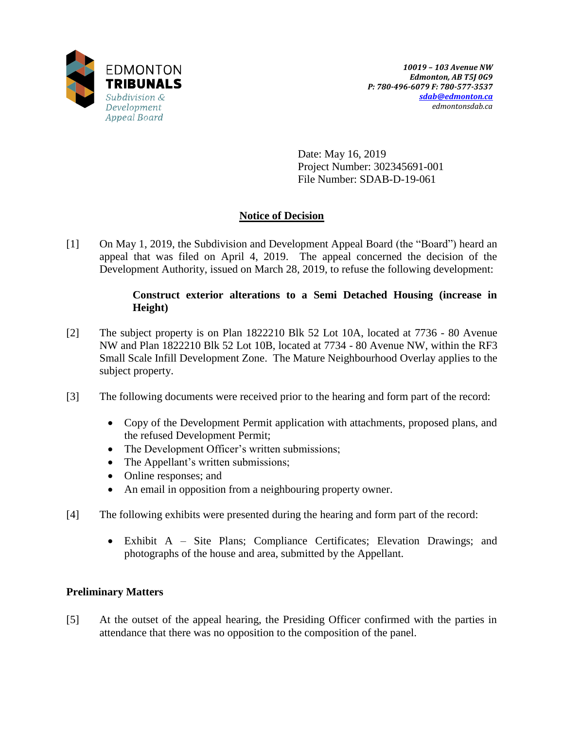

Date: May 16, 2019 Project Number: 302345691-001 File Number: SDAB-D-19-061

# **Notice of Decision**

[1] On May 1, 2019, the Subdivision and Development Appeal Board (the "Board") heard an appeal that was filed on April 4, 2019. The appeal concerned the decision of the Development Authority, issued on March 28, 2019, to refuse the following development:

### **Construct exterior alterations to a Semi Detached Housing (increase in Height)**

- [2] The subject property is on Plan 1822210 Blk 52 Lot 10A, located at 7736 80 Avenue NW and Plan 1822210 Blk 52 Lot 10B, located at 7734 - 80 Avenue NW, within the RF3 Small Scale Infill Development Zone. The Mature Neighbourhood Overlay applies to the subject property.
- [3] The following documents were received prior to the hearing and form part of the record:
	- Copy of the Development Permit application with attachments, proposed plans, and the refused Development Permit;
	- The Development Officer's written submissions;
	- The Appellant's written submissions;
	- Online responses; and
	- An email in opposition from a neighbouring property owner.
- [4] The following exhibits were presented during the hearing and form part of the record:
	- Exhibit A Site Plans; Compliance Certificates; Elevation Drawings; and photographs of the house and area, submitted by the Appellant.

## **Preliminary Matters**

[5] At the outset of the appeal hearing, the Presiding Officer confirmed with the parties in attendance that there was no opposition to the composition of the panel.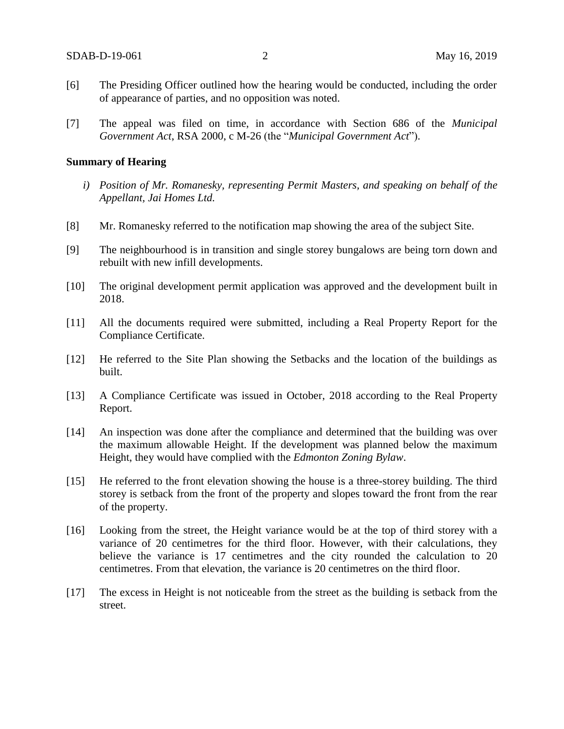- [6] The Presiding Officer outlined how the hearing would be conducted, including the order of appearance of parties, and no opposition was noted.
- [7] The appeal was filed on time, in accordance with Section 686 of the *Municipal Government Act*, RSA 2000, c M-26 (the "*Municipal Government Act*").

#### **Summary of Hearing**

- *i) Position of Mr. Romanesky, representing Permit Masters, and speaking on behalf of the Appellant, Jai Homes Ltd.*
- [8] Mr. Romanesky referred to the notification map showing the area of the subject Site.
- [9] The neighbourhood is in transition and single storey bungalows are being torn down and rebuilt with new infill developments.
- [10] The original development permit application was approved and the development built in 2018.
- [11] All the documents required were submitted, including a Real Property Report for the Compliance Certificate.
- [12] He referred to the Site Plan showing the Setbacks and the location of the buildings as built.
- [13] A Compliance Certificate was issued in October, 2018 according to the Real Property Report.
- [14] An inspection was done after the compliance and determined that the building was over the maximum allowable Height. If the development was planned below the maximum Height, they would have complied with the *Edmonton Zoning Bylaw*.
- [15] He referred to the front elevation showing the house is a three-storey building. The third storey is setback from the front of the property and slopes toward the front from the rear of the property.
- [16] Looking from the street, the Height variance would be at the top of third storey with a variance of 20 centimetres for the third floor. However, with their calculations, they believe the variance is 17 centimetres and the city rounded the calculation to 20 centimetres. From that elevation, the variance is 20 centimetres on the third floor.
- [17] The excess in Height is not noticeable from the street as the building is setback from the street.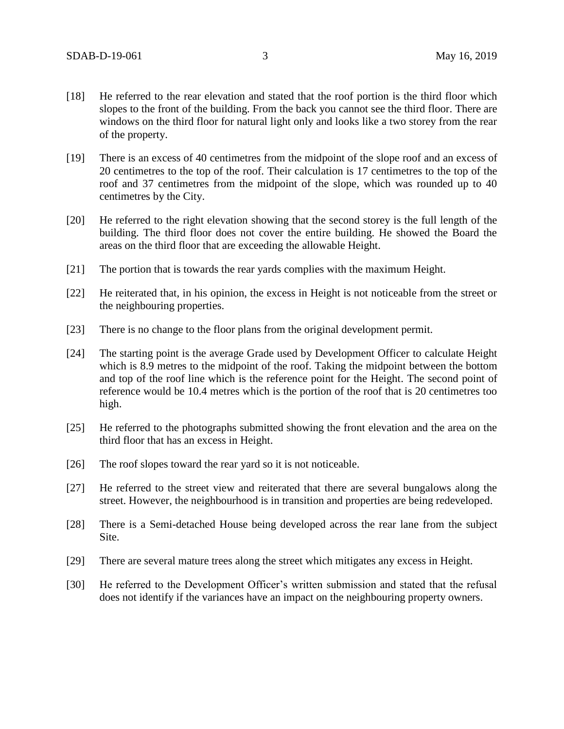- [18] He referred to the rear elevation and stated that the roof portion is the third floor which slopes to the front of the building. From the back you cannot see the third floor. There are windows on the third floor for natural light only and looks like a two storey from the rear of the property.
- [19] There is an excess of 40 centimetres from the midpoint of the slope roof and an excess of 20 centimetres to the top of the roof. Their calculation is 17 centimetres to the top of the roof and 37 centimetres from the midpoint of the slope, which was rounded up to 40 centimetres by the City.
- [20] He referred to the right elevation showing that the second storey is the full length of the building. The third floor does not cover the entire building. He showed the Board the areas on the third floor that are exceeding the allowable Height.
- [21] The portion that is towards the rear yards complies with the maximum Height.
- [22] He reiterated that, in his opinion, the excess in Height is not noticeable from the street or the neighbouring properties.
- [23] There is no change to the floor plans from the original development permit.
- [24] The starting point is the average Grade used by Development Officer to calculate Height which is 8.9 metres to the midpoint of the roof. Taking the midpoint between the bottom and top of the roof line which is the reference point for the Height. The second point of reference would be 10.4 metres which is the portion of the roof that is 20 centimetres too high.
- [25] He referred to the photographs submitted showing the front elevation and the area on the third floor that has an excess in Height.
- [26] The roof slopes toward the rear yard so it is not noticeable.
- [27] He referred to the street view and reiterated that there are several bungalows along the street. However, the neighbourhood is in transition and properties are being redeveloped.
- [28] There is a Semi-detached House being developed across the rear lane from the subject Site.
- [29] There are several mature trees along the street which mitigates any excess in Height.
- [30] He referred to the Development Officer's written submission and stated that the refusal does not identify if the variances have an impact on the neighbouring property owners.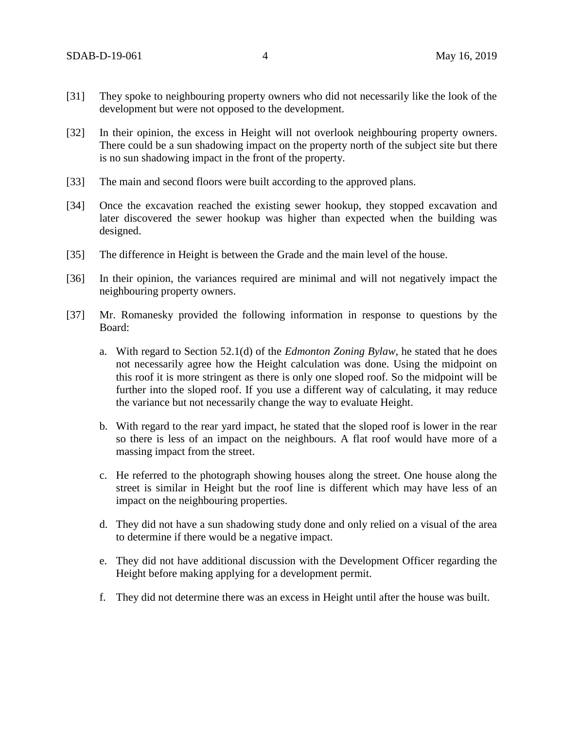- [31] They spoke to neighbouring property owners who did not necessarily like the look of the development but were not opposed to the development.
- [32] In their opinion, the excess in Height will not overlook neighbouring property owners. There could be a sun shadowing impact on the property north of the subject site but there is no sun shadowing impact in the front of the property.
- [33] The main and second floors were built according to the approved plans.
- [34] Once the excavation reached the existing sewer hookup, they stopped excavation and later discovered the sewer hookup was higher than expected when the building was designed.
- [35] The difference in Height is between the Grade and the main level of the house.
- [36] In their opinion, the variances required are minimal and will not negatively impact the neighbouring property owners.
- [37] Mr. Romanesky provided the following information in response to questions by the Board:
	- a. With regard to Section 52.1(d) of the *Edmonton Zoning Bylaw*, he stated that he does not necessarily agree how the Height calculation was done. Using the midpoint on this roof it is more stringent as there is only one sloped roof. So the midpoint will be further into the sloped roof. If you use a different way of calculating, it may reduce the variance but not necessarily change the way to evaluate Height.
	- b. With regard to the rear yard impact, he stated that the sloped roof is lower in the rear so there is less of an impact on the neighbours. A flat roof would have more of a massing impact from the street.
	- c. He referred to the photograph showing houses along the street. One house along the street is similar in Height but the roof line is different which may have less of an impact on the neighbouring properties.
	- d. They did not have a sun shadowing study done and only relied on a visual of the area to determine if there would be a negative impact.
	- e. They did not have additional discussion with the Development Officer regarding the Height before making applying for a development permit.
	- f. They did not determine there was an excess in Height until after the house was built.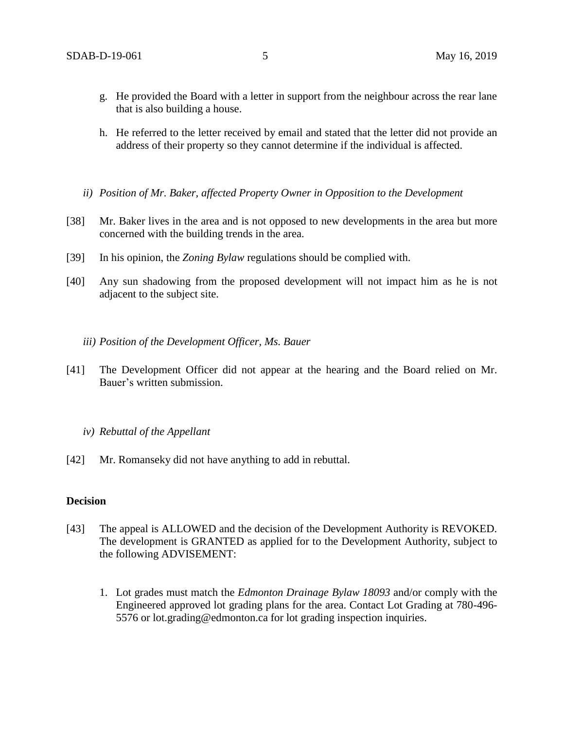- g. He provided the Board with a letter in support from the neighbour across the rear lane that is also building a house.
- h. He referred to the letter received by email and stated that the letter did not provide an address of their property so they cannot determine if the individual is affected.
- *ii) Position of Mr. Baker, affected Property Owner in Opposition to the Development*
- [38] Mr. Baker lives in the area and is not opposed to new developments in the area but more concerned with the building trends in the area.
- [39] In his opinion, the *Zoning Bylaw* regulations should be complied with.
- [40] Any sun shadowing from the proposed development will not impact him as he is not adjacent to the subject site.
	- *iii) Position of the Development Officer, Ms. Bauer*
- [41] The Development Officer did not appear at the hearing and the Board relied on Mr. Bauer's written submission.
	- *iv) Rebuttal of the Appellant*
- [42] Mr. Romanseky did not have anything to add in rebuttal.

#### **Decision**

- [43] The appeal is ALLOWED and the decision of the Development Authority is REVOKED. The development is GRANTED as applied for to the Development Authority, subject to the following ADVISEMENT:
	- 1. Lot grades must match the *Edmonton Drainage Bylaw 18093* and/or comply with the Engineered approved lot grading plans for the area. Contact Lot Grading at 780-496- 5576 or lot.grading@edmonton.ca for lot grading inspection inquiries.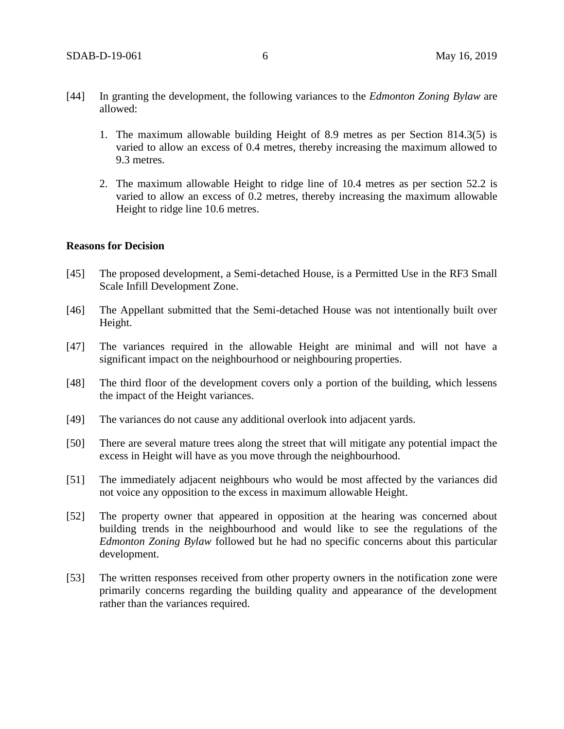- [44] In granting the development, the following variances to the *Edmonton Zoning Bylaw* are allowed:
	- 1. The maximum allowable building Height of 8.9 metres as per Section 814.3(5) is varied to allow an excess of 0.4 metres, thereby increasing the maximum allowed to 9.3 metres.
	- 2. The maximum allowable Height to ridge line of 10.4 metres as per section 52.2 is varied to allow an excess of 0.2 metres, thereby increasing the maximum allowable Height to ridge line 10.6 metres.

#### **Reasons for Decision**

- [45] The proposed development, a Semi-detached House, is a Permitted Use in the RF3 Small Scale Infill Development Zone.
- [46] The Appellant submitted that the Semi-detached House was not intentionally built over Height.
- [47] The variances required in the allowable Height are minimal and will not have a significant impact on the neighbourhood or neighbouring properties.
- [48] The third floor of the development covers only a portion of the building, which lessens the impact of the Height variances.
- [49] The variances do not cause any additional overlook into adjacent yards.
- [50] There are several mature trees along the street that will mitigate any potential impact the excess in Height will have as you move through the neighbourhood.
- [51] The immediately adjacent neighbours who would be most affected by the variances did not voice any opposition to the excess in maximum allowable Height.
- [52] The property owner that appeared in opposition at the hearing was concerned about building trends in the neighbourhood and would like to see the regulations of the *Edmonton Zoning Bylaw* followed but he had no specific concerns about this particular development.
- [53] The written responses received from other property owners in the notification zone were primarily concerns regarding the building quality and appearance of the development rather than the variances required.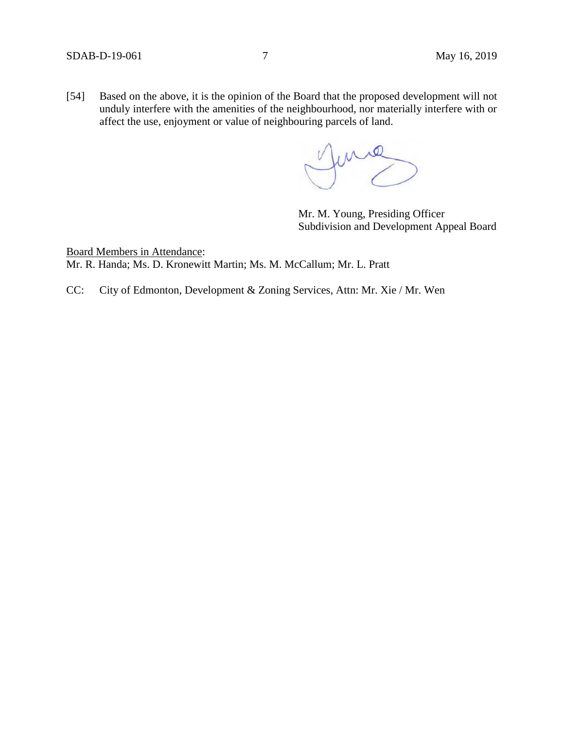[54] Based on the above, it is the opinion of the Board that the proposed development will not unduly interfere with the amenities of the neighbourhood, nor materially interfere with or affect the use, enjoyment or value of neighbouring parcels of land.

June

Mr. M. Young, Presiding Officer Subdivision and Development Appeal Board

Board Members in Attendance: Mr. R. Handa; Ms. D. Kronewitt Martin; Ms. M. McCallum; Mr. L. Pratt

CC: City of Edmonton, Development & Zoning Services, Attn: Mr. Xie / Mr. Wen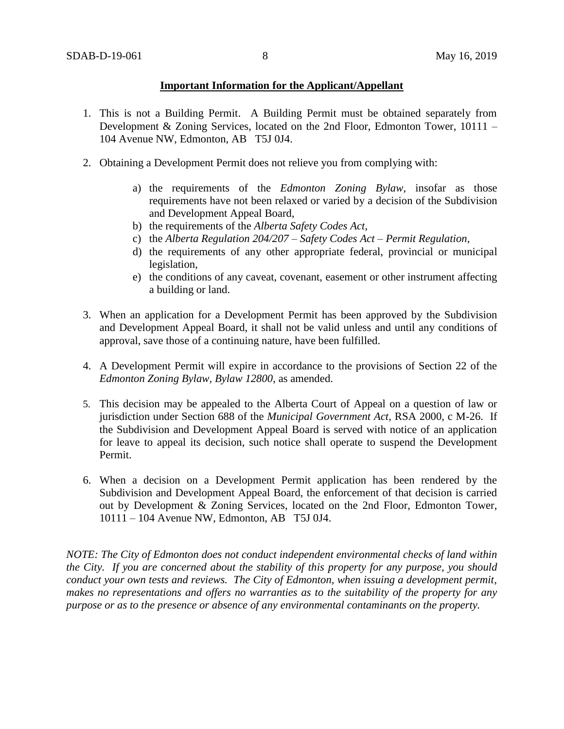### **Important Information for the Applicant/Appellant**

- 1. This is not a Building Permit. A Building Permit must be obtained separately from Development & Zoning Services, located on the 2nd Floor, Edmonton Tower, 10111 – 104 Avenue NW, Edmonton, AB T5J 0J4.
- 2. Obtaining a Development Permit does not relieve you from complying with:
	- a) the requirements of the *Edmonton Zoning Bylaw*, insofar as those requirements have not been relaxed or varied by a decision of the Subdivision and Development Appeal Board,
	- b) the requirements of the *Alberta Safety Codes Act*,
	- c) the *Alberta Regulation 204/207 – Safety Codes Act – Permit Regulation*,
	- d) the requirements of any other appropriate federal, provincial or municipal legislation,
	- e) the conditions of any caveat, covenant, easement or other instrument affecting a building or land.
- 3. When an application for a Development Permit has been approved by the Subdivision and Development Appeal Board, it shall not be valid unless and until any conditions of approval, save those of a continuing nature, have been fulfilled.
- 4. A Development Permit will expire in accordance to the provisions of Section 22 of the *Edmonton Zoning Bylaw, Bylaw 12800*, as amended.
- 5. This decision may be appealed to the Alberta Court of Appeal on a question of law or jurisdiction under Section 688 of the *Municipal Government Act*, RSA 2000, c M-26. If the Subdivision and Development Appeal Board is served with notice of an application for leave to appeal its decision, such notice shall operate to suspend the Development Permit.
- 6. When a decision on a Development Permit application has been rendered by the Subdivision and Development Appeal Board, the enforcement of that decision is carried out by Development & Zoning Services, located on the 2nd Floor, Edmonton Tower, 10111 – 104 Avenue NW, Edmonton, AB T5J 0J4.

*NOTE: The City of Edmonton does not conduct independent environmental checks of land within the City. If you are concerned about the stability of this property for any purpose, you should conduct your own tests and reviews. The City of Edmonton, when issuing a development permit, makes no representations and offers no warranties as to the suitability of the property for any purpose or as to the presence or absence of any environmental contaminants on the property.*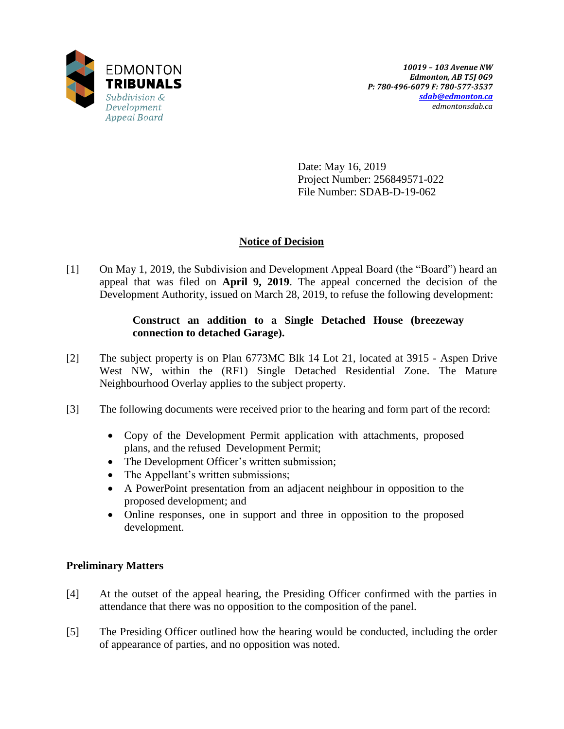

Date: May 16, 2019 Project Number: 256849571-022 File Number: SDAB-D-19-062

# **Notice of Decision**

[1] On May 1, 2019, the Subdivision and Development Appeal Board (the "Board") heard an appeal that was filed on **April 9, 2019**. The appeal concerned the decision of the Development Authority, issued on March 28, 2019, to refuse the following development:

## **Construct an addition to a Single Detached House (breezeway connection to detached Garage).**

- [2] The subject property is on Plan 6773MC Blk 14 Lot 21, located at 3915 Aspen Drive West NW, within the (RF1) Single Detached Residential Zone. The Mature Neighbourhood Overlay applies to the subject property.
- [3] The following documents were received prior to the hearing and form part of the record:
	- Copy of the Development Permit application with attachments, proposed plans, and the refused Development Permit;
	- The Development Officer's written submission;
	- The Appellant's written submissions;
	- A PowerPoint presentation from an adjacent neighbour in opposition to the proposed development; and
	- Online responses, one in support and three in opposition to the proposed development.

## **Preliminary Matters**

- [4] At the outset of the appeal hearing, the Presiding Officer confirmed with the parties in attendance that there was no opposition to the composition of the panel.
- [5] The Presiding Officer outlined how the hearing would be conducted, including the order of appearance of parties, and no opposition was noted.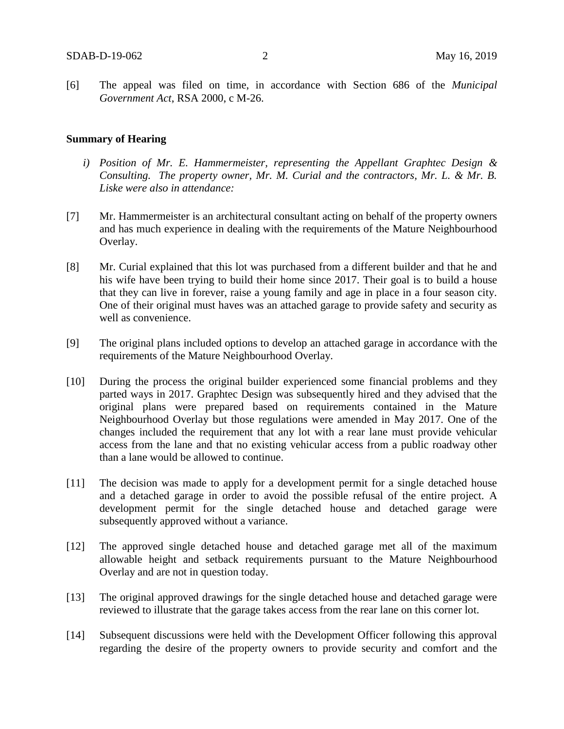[6] The appeal was filed on time, in accordance with Section 686 of the *Municipal Government Act*, RSA 2000, c M-26.

#### **Summary of Hearing**

- *i) Position of Mr. E. Hammermeister, representing the Appellant Graphtec Design & Consulting. The property owner, Mr. M. Curial and the contractors, Mr. L. & Mr. B. Liske were also in attendance:*
- [7] Mr. Hammermeister is an architectural consultant acting on behalf of the property owners and has much experience in dealing with the requirements of the Mature Neighbourhood Overlay.
- [8] Mr. Curial explained that this lot was purchased from a different builder and that he and his wife have been trying to build their home since 2017. Their goal is to build a house that they can live in forever, raise a young family and age in place in a four season city. One of their original must haves was an attached garage to provide safety and security as well as convenience.
- [9] The original plans included options to develop an attached garage in accordance with the requirements of the Mature Neighbourhood Overlay.
- [10] During the process the original builder experienced some financial problems and they parted ways in 2017. Graphtec Design was subsequently hired and they advised that the original plans were prepared based on requirements contained in the Mature Neighbourhood Overlay but those regulations were amended in May 2017. One of the changes included the requirement that any lot with a rear lane must provide vehicular access from the lane and that no existing vehicular access from a public roadway other than a lane would be allowed to continue.
- [11] The decision was made to apply for a development permit for a single detached house and a detached garage in order to avoid the possible refusal of the entire project. A development permit for the single detached house and detached garage were subsequently approved without a variance.
- [12] The approved single detached house and detached garage met all of the maximum allowable height and setback requirements pursuant to the Mature Neighbourhood Overlay and are not in question today.
- [13] The original approved drawings for the single detached house and detached garage were reviewed to illustrate that the garage takes access from the rear lane on this corner lot.
- [14] Subsequent discussions were held with the Development Officer following this approval regarding the desire of the property owners to provide security and comfort and the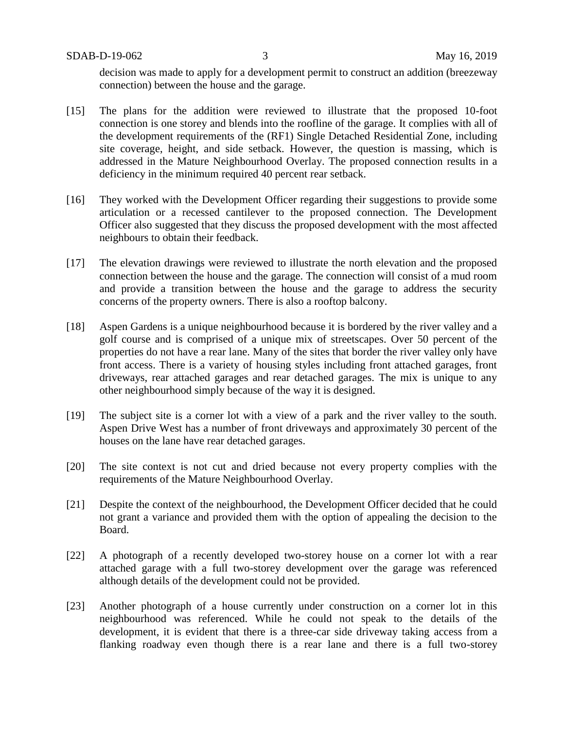SDAB-D-19-062 3 May 16, 2019

decision was made to apply for a development permit to construct an addition (breezeway connection) between the house and the garage.

- [15] The plans for the addition were reviewed to illustrate that the proposed 10-foot connection is one storey and blends into the roofline of the garage. It complies with all of the development requirements of the (RF1) Single Detached Residential Zone, including site coverage, height, and side setback. However, the question is massing, which is addressed in the Mature Neighbourhood Overlay. The proposed connection results in a deficiency in the minimum required 40 percent rear setback.
- [16] They worked with the Development Officer regarding their suggestions to provide some articulation or a recessed cantilever to the proposed connection. The Development Officer also suggested that they discuss the proposed development with the most affected neighbours to obtain their feedback.
- [17] The elevation drawings were reviewed to illustrate the north elevation and the proposed connection between the house and the garage. The connection will consist of a mud room and provide a transition between the house and the garage to address the security concerns of the property owners. There is also a rooftop balcony.
- [18] Aspen Gardens is a unique neighbourhood because it is bordered by the river valley and a golf course and is comprised of a unique mix of streetscapes. Over 50 percent of the properties do not have a rear lane. Many of the sites that border the river valley only have front access. There is a variety of housing styles including front attached garages, front driveways, rear attached garages and rear detached garages. The mix is unique to any other neighbourhood simply because of the way it is designed.
- [19] The subject site is a corner lot with a view of a park and the river valley to the south. Aspen Drive West has a number of front driveways and approximately 30 percent of the houses on the lane have rear detached garages.
- [20] The site context is not cut and dried because not every property complies with the requirements of the Mature Neighbourhood Overlay.
- [21] Despite the context of the neighbourhood, the Development Officer decided that he could not grant a variance and provided them with the option of appealing the decision to the Board.
- [22] A photograph of a recently developed two-storey house on a corner lot with a rear attached garage with a full two-storey development over the garage was referenced although details of the development could not be provided.
- [23] Another photograph of a house currently under construction on a corner lot in this neighbourhood was referenced. While he could not speak to the details of the development, it is evident that there is a three-car side driveway taking access from a flanking roadway even though there is a rear lane and there is a full two-storey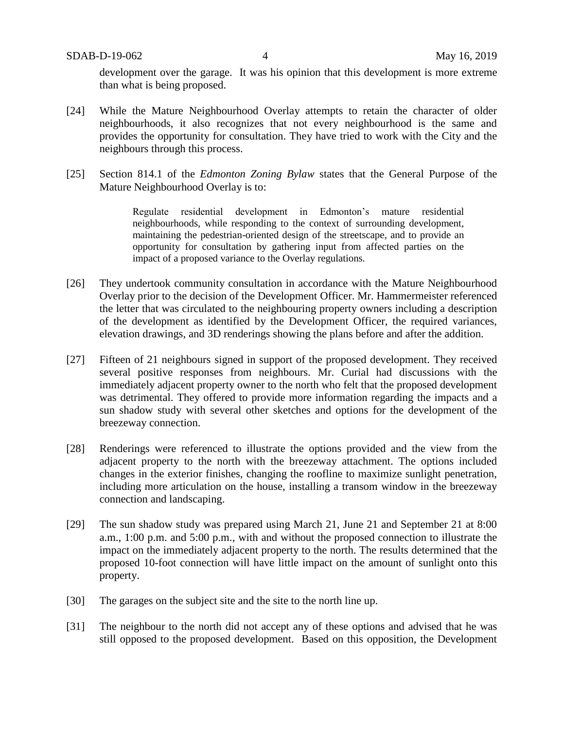SDAB-D-19-062 4 May 16, 2019

development over the garage. It was his opinion that this development is more extreme than what is being proposed.

- [24] While the Mature Neighbourhood Overlay attempts to retain the character of older neighbourhoods, it also recognizes that not every neighbourhood is the same and provides the opportunity for consultation. They have tried to work with the City and the neighbours through this process.
- [25] Section 814.1 of the *Edmonton Zoning Bylaw* states that the General Purpose of the Mature Neighbourhood Overlay is to:

Regulate residential development in Edmonton's mature residential neighbourhoods, while responding to the context of surrounding development, maintaining the pedestrian-oriented design of the streetscape, and to provide an opportunity for consultation by gathering input from affected parties on the impact of a proposed variance to the Overlay regulations.

- [26] They undertook community consultation in accordance with the Mature Neighbourhood Overlay prior to the decision of the Development Officer. Mr. Hammermeister referenced the letter that was circulated to the neighbouring property owners including a description of the development as identified by the Development Officer, the required variances, elevation drawings, and 3D renderings showing the plans before and after the addition.
- [27] Fifteen of 21 neighbours signed in support of the proposed development. They received several positive responses from neighbours. Mr. Curial had discussions with the immediately adjacent property owner to the north who felt that the proposed development was detrimental. They offered to provide more information regarding the impacts and a sun shadow study with several other sketches and options for the development of the breezeway connection.
- [28] Renderings were referenced to illustrate the options provided and the view from the adjacent property to the north with the breezeway attachment. The options included changes in the exterior finishes, changing the roofline to maximize sunlight penetration, including more articulation on the house, installing a transom window in the breezeway connection and landscaping.
- [29] The sun shadow study was prepared using March 21, June 21 and September 21 at 8:00 a.m., 1:00 p.m. and 5:00 p.m., with and without the proposed connection to illustrate the impact on the immediately adjacent property to the north. The results determined that the proposed 10-foot connection will have little impact on the amount of sunlight onto this property.
- [30] The garages on the subject site and the site to the north line up.
- [31] The neighbour to the north did not accept any of these options and advised that he was still opposed to the proposed development. Based on this opposition, the Development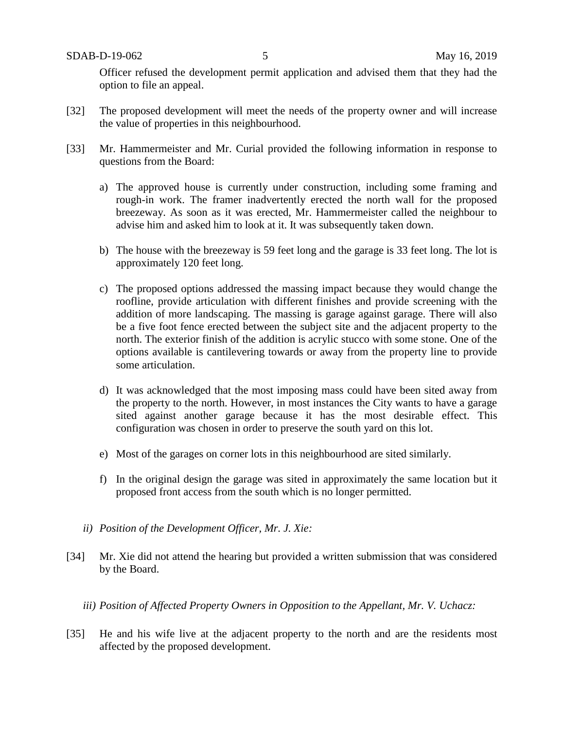Officer refused the development permit application and advised them that they had the option to file an appeal.

- [32] The proposed development will meet the needs of the property owner and will increase the value of properties in this neighbourhood.
- [33] Mr. Hammermeister and Mr. Curial provided the following information in response to questions from the Board:
	- a) The approved house is currently under construction, including some framing and rough-in work. The framer inadvertently erected the north wall for the proposed breezeway. As soon as it was erected, Mr. Hammermeister called the neighbour to advise him and asked him to look at it. It was subsequently taken down.
	- b) The house with the breezeway is 59 feet long and the garage is 33 feet long. The lot is approximately 120 feet long.
	- c) The proposed options addressed the massing impact because they would change the roofline, provide articulation with different finishes and provide screening with the addition of more landscaping. The massing is garage against garage. There will also be a five foot fence erected between the subject site and the adjacent property to the north. The exterior finish of the addition is acrylic stucco with some stone. One of the options available is cantilevering towards or away from the property line to provide some articulation.
	- d) It was acknowledged that the most imposing mass could have been sited away from the property to the north. However, in most instances the City wants to have a garage sited against another garage because it has the most desirable effect. This configuration was chosen in order to preserve the south yard on this lot.
	- e) Most of the garages on corner lots in this neighbourhood are sited similarly.
	- f) In the original design the garage was sited in approximately the same location but it proposed front access from the south which is no longer permitted.
	- *ii) Position of the Development Officer, Mr. J. Xie:*
- [34] Mr. Xie did not attend the hearing but provided a written submission that was considered by the Board.
	- *iii) Position of Affected Property Owners in Opposition to the Appellant, Mr. V. Uchacz:*
- [35] He and his wife live at the adjacent property to the north and are the residents most affected by the proposed development.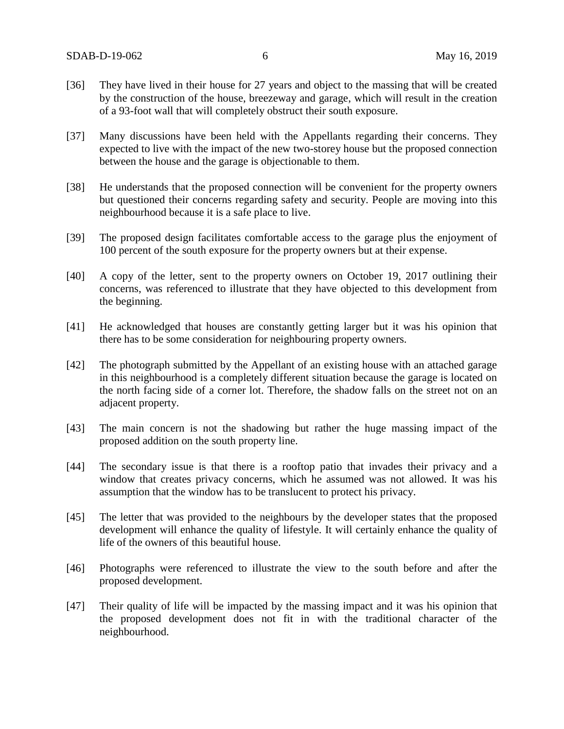- [36] They have lived in their house for 27 years and object to the massing that will be created by the construction of the house, breezeway and garage, which will result in the creation of a 93-foot wall that will completely obstruct their south exposure.
- [37] Many discussions have been held with the Appellants regarding their concerns. They expected to live with the impact of the new two-storey house but the proposed connection between the house and the garage is objectionable to them.
- [38] He understands that the proposed connection will be convenient for the property owners but questioned their concerns regarding safety and security. People are moving into this neighbourhood because it is a safe place to live.
- [39] The proposed design facilitates comfortable access to the garage plus the enjoyment of 100 percent of the south exposure for the property owners but at their expense.
- [40] A copy of the letter, sent to the property owners on October 19, 2017 outlining their concerns, was referenced to illustrate that they have objected to this development from the beginning.
- [41] He acknowledged that houses are constantly getting larger but it was his opinion that there has to be some consideration for neighbouring property owners.
- [42] The photograph submitted by the Appellant of an existing house with an attached garage in this neighbourhood is a completely different situation because the garage is located on the north facing side of a corner lot. Therefore, the shadow falls on the street not on an adjacent property.
- [43] The main concern is not the shadowing but rather the huge massing impact of the proposed addition on the south property line.
- [44] The secondary issue is that there is a rooftop patio that invades their privacy and a window that creates privacy concerns, which he assumed was not allowed. It was his assumption that the window has to be translucent to protect his privacy.
- [45] The letter that was provided to the neighbours by the developer states that the proposed development will enhance the quality of lifestyle. It will certainly enhance the quality of life of the owners of this beautiful house.
- [46] Photographs were referenced to illustrate the view to the south before and after the proposed development.
- [47] Their quality of life will be impacted by the massing impact and it was his opinion that the proposed development does not fit in with the traditional character of the neighbourhood.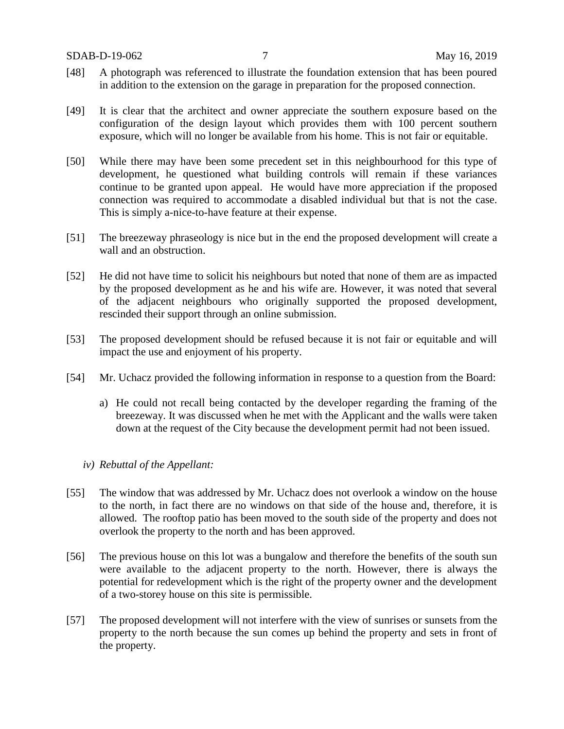- [48] A photograph was referenced to illustrate the foundation extension that has been poured in addition to the extension on the garage in preparation for the proposed connection.
- [49] It is clear that the architect and owner appreciate the southern exposure based on the configuration of the design layout which provides them with 100 percent southern exposure, which will no longer be available from his home. This is not fair or equitable.
- [50] While there may have been some precedent set in this neighbourhood for this type of development, he questioned what building controls will remain if these variances continue to be granted upon appeal. He would have more appreciation if the proposed connection was required to accommodate a disabled individual but that is not the case. This is simply a-nice-to-have feature at their expense.
- [51] The breezeway phraseology is nice but in the end the proposed development will create a wall and an obstruction.
- [52] He did not have time to solicit his neighbours but noted that none of them are as impacted by the proposed development as he and his wife are. However, it was noted that several of the adjacent neighbours who originally supported the proposed development, rescinded their support through an online submission.
- [53] The proposed development should be refused because it is not fair or equitable and will impact the use and enjoyment of his property.
- [54] Mr. Uchacz provided the following information in response to a question from the Board:
	- a) He could not recall being contacted by the developer regarding the framing of the breezeway. It was discussed when he met with the Applicant and the walls were taken down at the request of the City because the development permit had not been issued.
	- *iv) Rebuttal of the Appellant:*
- [55] The window that was addressed by Mr. Uchacz does not overlook a window on the house to the north, in fact there are no windows on that side of the house and, therefore, it is allowed. The rooftop patio has been moved to the south side of the property and does not overlook the property to the north and has been approved.
- [56] The previous house on this lot was a bungalow and therefore the benefits of the south sun were available to the adjacent property to the north. However, there is always the potential for redevelopment which is the right of the property owner and the development of a two-storey house on this site is permissible.
- [57] The proposed development will not interfere with the view of sunrises or sunsets from the property to the north because the sun comes up behind the property and sets in front of the property.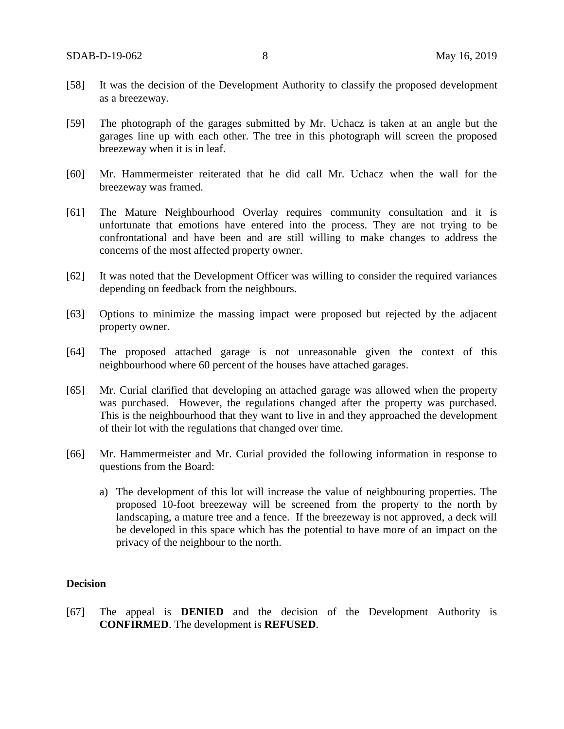- [58] It was the decision of the Development Authority to classify the proposed development as a breezeway.
- [59] The photograph of the garages submitted by Mr. Uchacz is taken at an angle but the garages line up with each other. The tree in this photograph will screen the proposed breezeway when it is in leaf.
- [60] Mr. Hammermeister reiterated that he did call Mr. Uchacz when the wall for the breezeway was framed.
- [61] The Mature Neighbourhood Overlay requires community consultation and it is unfortunate that emotions have entered into the process. They are not trying to be confrontational and have been and are still willing to make changes to address the concerns of the most affected property owner.
- [62] It was noted that the Development Officer was willing to consider the required variances depending on feedback from the neighbours.
- [63] Options to minimize the massing impact were proposed but rejected by the adjacent property owner.
- [64] The proposed attached garage is not unreasonable given the context of this neighbourhood where 60 percent of the houses have attached garages.
- [65] Mr. Curial clarified that developing an attached garage was allowed when the property was purchased. However, the regulations changed after the property was purchased. This is the neighbourhood that they want to live in and they approached the development of their lot with the regulations that changed over time.
- [66] Mr. Hammermeister and Mr. Curial provided the following information in response to questions from the Board:
	- a) The development of this lot will increase the value of neighbouring properties. The proposed 10-foot breezeway will be screened from the property to the north by landscaping, a mature tree and a fence. If the breezeway is not approved, a deck will be developed in this space which has the potential to have more of an impact on the privacy of the neighbour to the north.

#### **Decision**

[67] The appeal is **DENIED** and the decision of the Development Authority is **CONFIRMED**. The development is **REFUSED**.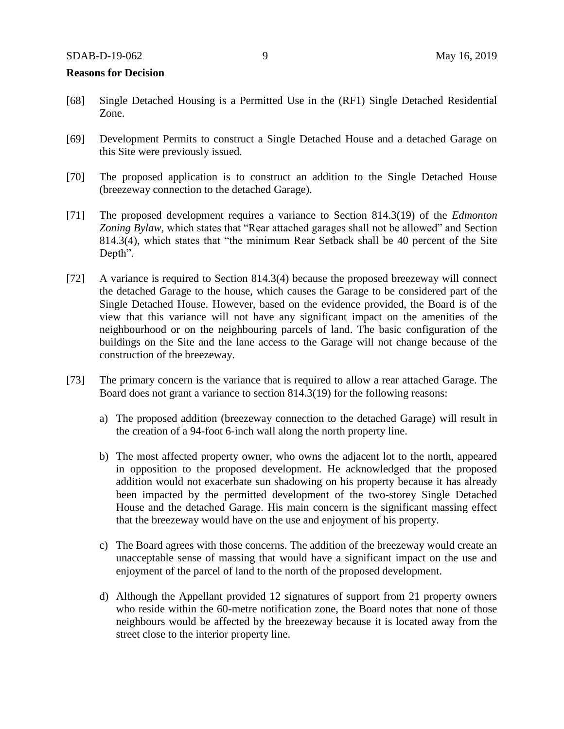#### **Reasons for Decision**

- [68] Single Detached Housing is a Permitted Use in the (RF1) Single Detached Residential Zone.
- [69] Development Permits to construct a Single Detached House and a detached Garage on this Site were previously issued.
- [70] The proposed application is to construct an addition to the Single Detached House (breezeway connection to the detached Garage).
- [71] The proposed development requires a variance to Section 814.3(19) of the *Edmonton Zoning Bylaw,* which states that "Rear attached garages shall not be allowed" and Section 814.3(4), which states that "the minimum Rear Setback shall be 40 percent of the Site Depth".
- [72] A variance is required to Section 814.3(4) because the proposed breezeway will connect the detached Garage to the house, which causes the Garage to be considered part of the Single Detached House. However, based on the evidence provided, the Board is of the view that this variance will not have any significant impact on the amenities of the neighbourhood or on the neighbouring parcels of land. The basic configuration of the buildings on the Site and the lane access to the Garage will not change because of the construction of the breezeway.
- [73] The primary concern is the variance that is required to allow a rear attached Garage. The Board does not grant a variance to section 814.3(19) for the following reasons:
	- a) The proposed addition (breezeway connection to the detached Garage) will result in the creation of a 94-foot 6-inch wall along the north property line.
	- b) The most affected property owner, who owns the adjacent lot to the north, appeared in opposition to the proposed development. He acknowledged that the proposed addition would not exacerbate sun shadowing on his property because it has already been impacted by the permitted development of the two-storey Single Detached House and the detached Garage. His main concern is the significant massing effect that the breezeway would have on the use and enjoyment of his property.
	- c) The Board agrees with those concerns. The addition of the breezeway would create an unacceptable sense of massing that would have a significant impact on the use and enjoyment of the parcel of land to the north of the proposed development.
	- d) Although the Appellant provided 12 signatures of support from 21 property owners who reside within the 60-metre notification zone, the Board notes that none of those neighbours would be affected by the breezeway because it is located away from the street close to the interior property line.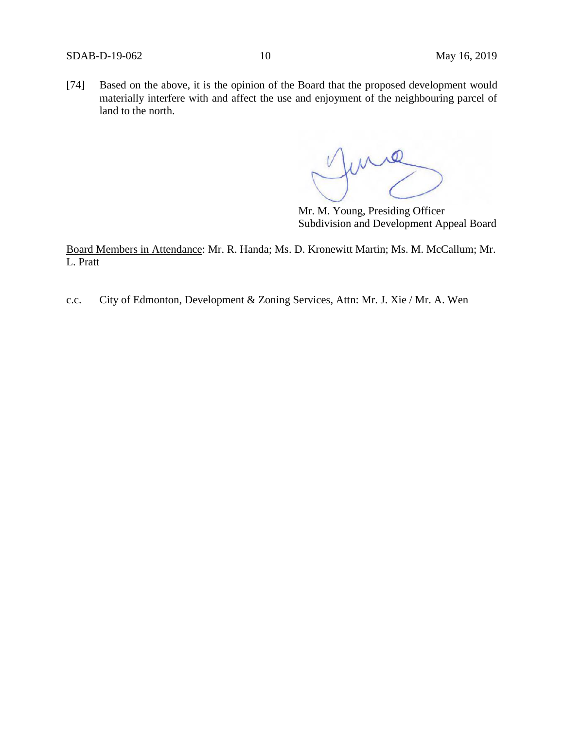[74] Based on the above, it is the opinion of the Board that the proposed development would materially interfere with and affect the use and enjoyment of the neighbouring parcel of land to the north.

fune

Mr. M. Young, Presiding Officer Subdivision and Development Appeal Board

Board Members in Attendance: Mr. R. Handa; Ms. D. Kronewitt Martin; Ms. M. McCallum; Mr. L. Pratt

c.c. City of Edmonton, Development & Zoning Services, Attn: Mr. J. Xie / Mr. A. Wen